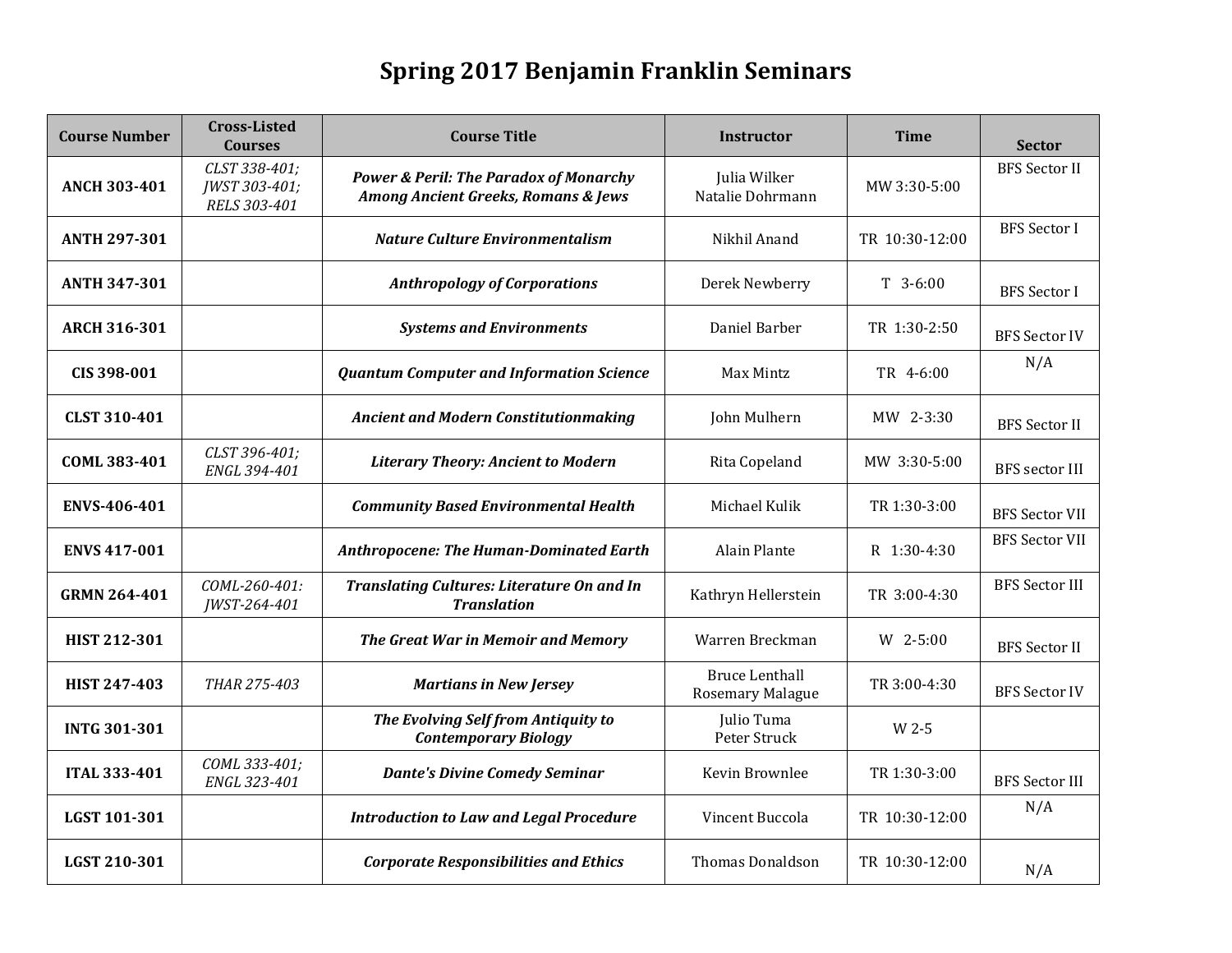## **Spring 2017 Benjamin Franklin Seminars**

| <b>Course Number</b> | <b>Cross-Listed</b><br><b>Courses</b>          | <b>Course Title</b>                                                                      | <b>Instructor</b>                         | <b>Time</b>    | <b>Sector</b>         |
|----------------------|------------------------------------------------|------------------------------------------------------------------------------------------|-------------------------------------------|----------------|-----------------------|
| <b>ANCH 303-401</b>  | CLST 338-401;<br>JWST 303-401;<br>RELS 303-401 | <b>Power &amp; Peril: The Paradox of Monarchy</b><br>Among Ancient Greeks, Romans & Jews | Julia Wilker<br>Natalie Dohrmann          | MW 3:30-5:00   | <b>BFS</b> Sector II  |
| <b>ANTH 297-301</b>  |                                                | <b>Nature Culture Environmentalism</b>                                                   | Nikhil Anand                              | TR 10:30-12:00 | <b>BFS</b> Sector I   |
| <b>ANTH 347-301</b>  |                                                | <b>Anthropology of Corporations</b>                                                      | Derek Newberry                            | $T$ 3-6:00     | <b>BFS</b> Sector I   |
| <b>ARCH 316-301</b>  |                                                | <b>Systems and Environments</b>                                                          | Daniel Barber                             | TR 1:30-2:50   | <b>BFS Sector IV</b>  |
| CIS 398-001          |                                                | <b>Quantum Computer and Information Science</b>                                          | Max Mintz                                 | TR 4-6:00      | N/A                   |
| <b>CLST 310-401</b>  |                                                | <b>Ancient and Modern Constitutionmaking</b>                                             | John Mulhern                              | MW 2-3:30      | <b>BFS</b> Sector II  |
| COML 383-401         | CLST 396-401;<br>ENGL 394-401                  | <b>Literary Theory: Ancient to Modern</b>                                                | Rita Copeland                             | MW 3:30-5:00   | <b>BFS</b> sector III |
| ENVS-406-401         |                                                | <b>Community Based Environmental Health</b>                                              | Michael Kulik                             | TR 1:30-3:00   | <b>BFS Sector VII</b> |
| <b>ENVS 417-001</b>  |                                                | <b>Anthropocene: The Human-Dominated Earth</b>                                           | <b>Alain Plante</b>                       | R $1:30-4:30$  | <b>BFS Sector VII</b> |
| <b>GRMN 264-401</b>  | COML-260-401:<br>JWST-264-401                  | <b>Translating Cultures: Literature On and In</b><br><b>Translation</b>                  | Kathryn Hellerstein                       | TR 3:00-4:30   | <b>BFS Sector III</b> |
| HIST 212-301         |                                                | The Great War in Memoir and Memory                                                       | Warren Breckman                           | W 2-5:00       | <b>BFS Sector II</b>  |
| <b>HIST 247-403</b>  | THAR 275-403                                   | <b>Martians in New Jersey</b>                                                            | <b>Bruce Lenthall</b><br>Rosemary Malague | TR 3:00-4:30   | <b>BFS Sector IV</b>  |
| <b>INTG 301-301</b>  |                                                | The Evolving Self from Antiquity to<br><b>Contemporary Biology</b>                       | Julio Tuma<br>Peter Struck                | W 2-5          |                       |
| <b>ITAL 333-401</b>  | COML 333-401;<br>ENGL 323-401                  | <b>Dante's Divine Comedy Seminar</b>                                                     | Kevin Brownlee                            | TR 1:30-3:00   | <b>BFS Sector III</b> |
| LGST 101-301         |                                                | <b>Introduction to Law and Legal Procedure</b>                                           | Vincent Buccola                           | TR 10:30-12:00 | N/A                   |
| LGST 210-301         |                                                | <b>Corporate Responsibilities and Ethics</b>                                             | <b>Thomas Donaldson</b>                   | TR 10:30-12:00 | N/A                   |